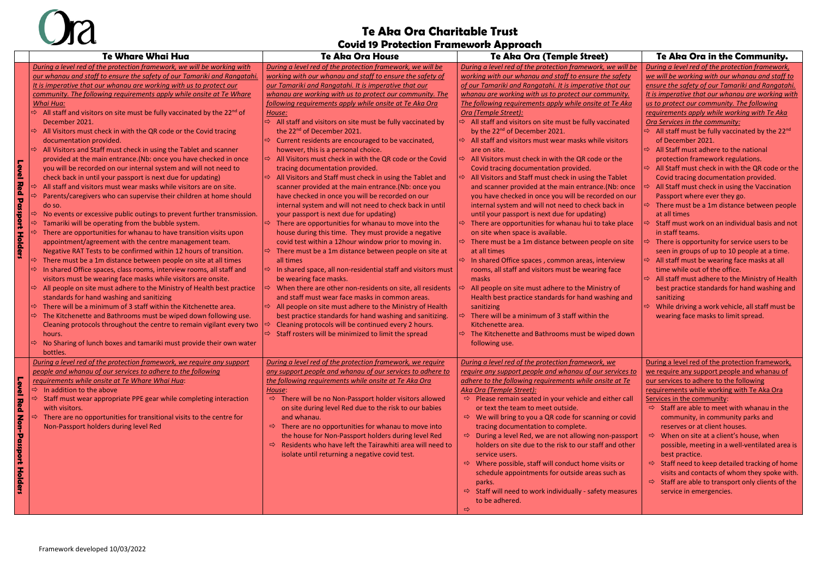#### **Te Aka Ora Charitable Trust Covid 19 Protection Framework Approach**



|                 | <b>Te Whare Whai Hua</b>                                                                         | SOVIU 12 PTOGGGUUH I IUHIGWOLK APPIOUGH<br><b>Te Aka Ora House</b>         | Te Aka Ora (Temple Street)                                             | Te Aka Ora in the Community.                                             |
|-----------------|--------------------------------------------------------------------------------------------------|----------------------------------------------------------------------------|------------------------------------------------------------------------|--------------------------------------------------------------------------|
|                 | During a level red of the protection framework, we will be working with                          | During a level red of the protection framework, we will be                 | During a level red of the protection framework, we will be             | During a level red of the protection framework,                          |
|                 | our whanau and staff to ensure the safety of our Tamariki and Rangatahi                          | working with our whanau and staff to ensure the safety of                  | working with our whanau and staff to ensure the safety                 | we will be working with our whanau and staff to                          |
|                 | It is imperative that our whanau are working with us to protect our                              | our Tamariki and Rangatahi. It is imperative that our                      | of our Tamariki and Rangatahi. It is imperative that our               | ensure the safety of our Tamariki and Rangatahi.                         |
|                 | community. The following requirements apply while onsite at Te Whare                             | whanau are working with us to protect our community. The                   | whanau are working with us to protect our community.                   | It is imperative that our whanau are working with                        |
|                 | Whai Hua:                                                                                        | following requirements apply while onsite at Te Aka Ora                    | The following requirements apply while onsite at Te Aka                | us to protect our community. The following                               |
|                 | $\Rightarrow$ All staff and visitors on site must be fully vaccinated by the 22 <sup>nd</sup> of | House:                                                                     | Ora (Temple Street):                                                   | requirements apply while working with Te Aka                             |
|                 | December 2021.                                                                                   | $\Rightarrow$ All staff and visitors on site must be fully vaccinated by   | $\Rightarrow$ All staff and visitors on site must be fully vaccinated  | Ora Services in the community:                                           |
|                 | All Visitors must check in with the QR code or the Covid tracing                                 | the 22 <sup>nd</sup> of December 2021.                                     | by the 22 <sup>nd</sup> of December 2021.                              | $\Rightarrow$ All staff must be fully vaccinated by the 22 <sup>nd</sup> |
|                 | documentation provided.                                                                          | $\Rightarrow$ Current residents are encouraged to be vaccinated,           | $\Rightarrow$ All staff and visitors must wear masks while visitors    | of December 2021.                                                        |
|                 | All Visitors and Staff must check in using the Tablet and scanner                                | however, this is a personal choice.                                        | are on site.                                                           | All Staff must adhere to the national<br>$\Rightarrow$                   |
|                 | provided at the main entrance.(Nb: once you have checked in once                                 | $\Rightarrow$ All Visitors must check in with the QR code or the Covid     | All Visitors must check in with the QR code or the                     | protection framework regulations.                                        |
|                 | you will be recorded on our internal system and will not need to                                 | tracing documentation provided.                                            | Covid tracing documentation provided.                                  | $\Rightarrow$ All Staff must check in with the QR code or the            |
| Level           | check back in until your passport is next due for updating)                                      | $\Rightarrow$ All Visitors and Staff must check in using the Tablet and    | All Visitors and Staff must check in using the Tablet<br>$\Rightarrow$ | Covid tracing documentation provided.                                    |
| <b>Red</b>      | All staff and visitors must wear masks while visitors are on site.                               | scanner provided at the main entrance. (Nb: once you                       | and scanner provided at the main entrance.(Nb: once                    | All Staff must check in using the Vaccination                            |
|                 | Parents/caregivers who can supervise their children at home should                               | have checked in once you will be recorded on our                           | you have checked in once you will be recorded on our                   | Passport where ever they go.                                             |
|                 | do so.                                                                                           | internal system and will not need to check back in until                   | internal system and will not need to check back in                     | There must be a 1m distance between people                               |
|                 | No events or excessive public outings to prevent further transmission.                           | your passport is next due for updating)                                    | until your passport is next due for updating)                          | at all times                                                             |
| <b>Passport</b> | Tamariki will be operating from the bubble system.                                               | There are opportunities for whanau to move into the<br>⇨                   | There are opportunities for whanau hui to take place                   | Staff must work on an individual basis and not                           |
|                 | There are opportunities for whanau to have transition visits upon                                | house during this time. They must provide a negative                       | on site when space is available.                                       | in staff teams.                                                          |
| <b>Holders</b>  | appointment/agreement with the centre management team.                                           | covid test within a 12hour window prior to moving in.                      | $\Rightarrow$ There must be a 1m distance between people on site       | There is opportunity for service users to be                             |
|                 | Negative RAT Tests to be confirmed within 12 hours of transition.                                | $\Rightarrow$ There must be a 1m distance between people on site at        | at all times                                                           | seen in groups of up to 10 people at a time.                             |
|                 | There must be a 1m distance between people on site at all times                                  | all times                                                                  | $\Rightarrow$ In shared Office spaces, common areas, interview         | All staff must be wearing face masks at all                              |
|                 | In shared Office spaces, class rooms, interview rooms, all staff and                             | $\Rightarrow$ In shared space, all non-residential staff and visitors must | rooms, all staff and visitors must be wearing face                     | time while out of the office.                                            |
|                 | visitors must be wearing face masks while visitors are onsite.                                   | be wearing face masks.                                                     | masks                                                                  | All staff must adhere to the Ministry of Health<br>$\Rightarrow$         |
|                 | All people on site must adhere to the Ministry of Health best practice<br>⇨.                     | When there are other non-residents on site, all residents<br>$\Rightarrow$ | All people on site must adhere to the Ministry of                      | best practice standards for hand washing and                             |
|                 | standards for hand washing and sanitizing                                                        | and staff must wear face masks in common areas.                            | Health best practice standards for hand washing and                    | sanitizing                                                               |
|                 | There will be a minimum of 3 staff within the Kitchenette area.                                  | $\Rightarrow$ All people on site must adhere to the Ministry of Health     | sanitizing                                                             | While driving a work vehicle, all staff must be                          |
|                 | The Kitchenette and Bathrooms must be wiped down following use.                                  | best practice standards for hand washing and sanitizing.                   | There will be a minimum of 3 staff within the                          | wearing face masks to limit spread.                                      |
|                 | Cleaning protocols throughout the centre to remain vigilant every two                            | Cleaning protocols will be continued every 2 hours.                        | Kitchenette area.                                                      |                                                                          |
|                 | hours.                                                                                           | $\Rightarrow$ Staff rosters will be minimized to limit the spread          | $\Rightarrow$ The Kitchenette and Bathrooms must be wiped down         |                                                                          |
|                 | No Sharing of lunch boxes and tamariki must provide their own water                              |                                                                            | following use.                                                         |                                                                          |
|                 | bottles.                                                                                         |                                                                            |                                                                        |                                                                          |
|                 | During a level red of the protection framework, we require any support                           | During a level red of the protection framework, we require                 | During a level red of the protection framework, we                     | During a level red of the protection framework,                          |
|                 | people and whanau of our services to adhere to the following                                     | any support people and whanau of our services to adhere to                 | require any support people and whanau of our services to               | we require any support people and whanau of                              |
|                 | requirements while onsite at Te Whare Whai Hua:                                                  | the following requirements while onsite at Te Aka Ora                      | adhere to the following requirements while onsite at Te                | our services to adhere to the following                                  |
| Level           | $\Rightarrow$ In addition to the above                                                           | House:                                                                     | Aka Ora (Temple Street):                                               | requirements while working with Te Aka Ora                               |
|                 | Staff must wear appropriate PPE gear while completing interaction                                | $\Rightarrow$ There will be no Non-Passport holder visitors allowed        | $\Rightarrow$ Please remain seated in your vehicle and either call     | Services in the community:                                               |
| Red             | with visitors.                                                                                   | on site during level Red due to the risk to our babies                     | or text the team to meet outside.                                      | $\Rightarrow$ Staff are able to meet with whanau in the                  |
| Non             | There are no opportunities for transitional visits to the centre for                             | and whanau.                                                                | $\Rightarrow$ We will bring to you a QR code for scanning or covid     | community, in community parks and                                        |
|                 | Non-Passport holders during level Red                                                            | $\Rightarrow$ There are no opportunities for whanau to move into           | tracing documentation to complete.                                     | reserves or at client houses.                                            |
|                 |                                                                                                  | the house for Non-Passport holders during level Red                        | $\Rightarrow$ During a level Red, we are not allowing non-passport     | When on site at a client's house, when<br>$\Rightarrow$                  |
| -Passport       |                                                                                                  | Residents who have left the Tairawhiti area will need to<br>$\Rightarrow$  | holders on site due to the risk to our staff and other                 | possible, meeting in a well-ventilated area is                           |
|                 |                                                                                                  | isolate until returning a negative covid test.                             | service users.                                                         | best practice.                                                           |
|                 |                                                                                                  |                                                                            | $\Rightarrow$ Where possible, staff will conduct home visits or        | $\Rightarrow$ Staff need to keep detailed tracking of home               |
|                 |                                                                                                  |                                                                            | schedule appointments for outside areas such as                        | visits and contacts of whom they spoke with.                             |
| <b>Holders</b>  |                                                                                                  |                                                                            | parks.                                                                 | $\Rightarrow$ Staff are able to transport only clients of the            |
|                 |                                                                                                  |                                                                            | Staff will need to work individually - safety measures<br>⇨            | service in emergencies.                                                  |
|                 |                                                                                                  |                                                                            | to be adhered.                                                         |                                                                          |
|                 |                                                                                                  |                                                                            | $\Rightarrow$                                                          |                                                                          |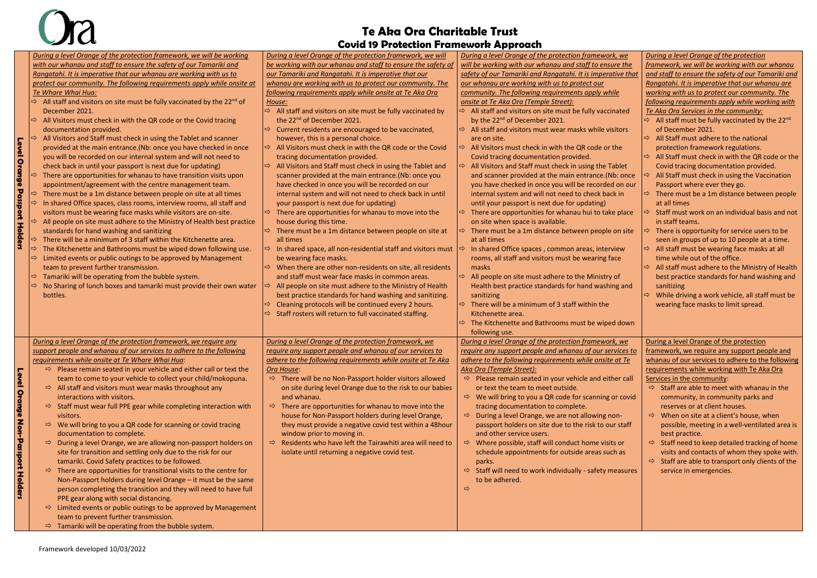### **Te Aka Ora Charitable Trust Covid 19 Protection Framework Approach**

|                                          | Covia is Protection Framework Approach                                                                               |                                                                            |                                                                       |                                                                          |  |  |  |  |
|------------------------------------------|----------------------------------------------------------------------------------------------------------------------|----------------------------------------------------------------------------|-----------------------------------------------------------------------|--------------------------------------------------------------------------|--|--|--|--|
|                                          | During a level Orange of the protection framework, we will be working                                                | During a level Orange of the protection framework, we will                 | During a level Orange of the protection framework, we                 | During a level Orange of the protection                                  |  |  |  |  |
|                                          | with our whanau and staff to ensure the safety of our Tamariki and                                                   | be working with our whanau and staff to ensure the safety of               | will be working with our whanau and staff to ensure the               | framework, we will be working with our whanau                            |  |  |  |  |
|                                          | Rangatahi. It is imperative that our whanau are working with us to                                                   | our Tamariki and Rangatahi. It is imperative that our                      | safety of our Tamariki and Rangatahi. It is imperative that           | and staff to ensure the safety of our Tamariki and                       |  |  |  |  |
|                                          | protect our community. The following requirements apply while onsite at                                              | whanau are working with us to protect our community. The                   | our whanau are working with us to protect our                         | Rangatahi. It is imperative that our whanau are                          |  |  |  |  |
|                                          | Te Whare Whai Hua:                                                                                                   | following requirements apply while onsite at Te Aka Ora                    | community. The following requirements apply while                     | working with us to protect our community. The                            |  |  |  |  |
|                                          | All staff and visitors on site must be fully vaccinated by the $22^{nd}$ of<br>$\Rightarrow$                         | House:                                                                     | onsite at Te Aka Ora (Temple Street):                                 | following requirements apply while working with                          |  |  |  |  |
|                                          | December 2021.                                                                                                       | $\Rightarrow$ All staff and visitors on site must be fully vaccinated by   | $\Rightarrow$ All staff and visitors on site must be fully vaccinated | Te Aka Ora Services in the community:                                    |  |  |  |  |
|                                          | All Visitors must check in with the QR code or the Covid tracing                                                     | the 22 <sup>nd</sup> of December 2021.                                     | by the 22 <sup>nd</sup> of December 2021.                             | $\Rightarrow$ All staff must be fully vaccinated by the 22 <sup>nd</sup> |  |  |  |  |
|                                          | documentation provided.                                                                                              | Current residents are encouraged to be vaccinated,<br>$\Rightarrow$        | $\Rightarrow$ All staff and visitors must wear masks while visitors   | of December 2021.                                                        |  |  |  |  |
|                                          | All Visitors and Staff must check in using the Tablet and scanner                                                    | however, this is a personal choice.                                        | are on site.                                                          | $\Rightarrow$ All Staff must adhere to the national                      |  |  |  |  |
|                                          | provided at the main entrance.(Nb: once you have checked in once                                                     | $\Rightarrow$ All Visitors must check in with the QR code or the Covid     | All Visitors must check in with the QR code or the<br>$\Rightarrow$   | protection framework regulations.                                        |  |  |  |  |
| <b>Level Orange</b>                      | you will be recorded on our internal system and will not need to                                                     | tracing documentation provided.                                            | Covid tracing documentation provided.                                 | $\Rightarrow$ All Staff must check in with the QR code or the            |  |  |  |  |
|                                          | check back in until your passport is next due for updating)                                                          | All Visitors and Staff must check in using the Tablet and<br>$\Rightarrow$ | All Visitors and Staff must check in using the Tablet                 | Covid tracing documentation provided.                                    |  |  |  |  |
|                                          | There are opportunities for whanau to have transition visits upon                                                    | scanner provided at the main entrance.(Nb: once you                        | and scanner provided at the main entrance.(Nb: once                   | All Staff must check in using the Vaccination                            |  |  |  |  |
|                                          | appointment/agreement with the centre management team.                                                               | have checked in once you will be recorded on our                           | you have checked in once you will be recorded on our                  | Passport where ever they go.                                             |  |  |  |  |
|                                          | There must be a 1m distance between people on site at all times                                                      | internal system and will not need to check back in until                   | internal system and will not need to check back in                    | $\Rightarrow$ There must be a 1m distance between people                 |  |  |  |  |
|                                          | In shared Office spaces, class rooms, interview rooms, all staff and                                                 | your passport is next due for updating)                                    | until your passport is next due for updating)                         | at all times                                                             |  |  |  |  |
| <b>Passport Holders</b>                  | visitors must be wearing face masks while visitors are on-site.                                                      | $\Rightarrow$ There are opportunities for whanau to move into the          | There are opportunities for whanau hui to take place                  | $\Rightarrow$ Staff must work on an individual basis and not             |  |  |  |  |
|                                          | All people on site must adhere to the Ministry of Health best practice                                               | house during this time.                                                    | on site when space is available.                                      | in staff teams.                                                          |  |  |  |  |
|                                          | standards for hand washing and sanitizing                                                                            | $\Rightarrow$<br>There must be a 1m distance between people on site at     | There must be a 1m distance between people on site                    | ⇨<br>There is opportunity for service users to be                        |  |  |  |  |
|                                          | There will be a minimum of 3 staff within the Kitchenette area.                                                      | all times                                                                  | at all times                                                          | seen in groups of up to 10 people at a time.                             |  |  |  |  |
|                                          | The Kitchenette and Bathrooms must be wiped down following use.                                                      | $\Rightarrow$ In shared space, all non-residential staff and visitors must | In shared Office spaces, common areas, interview                      | $\Rightarrow$ All staff must be wearing face masks at all                |  |  |  |  |
|                                          | Limited events or public outings to be approved by Management<br>$\Rightarrow$                                       | be wearing face masks.                                                     | rooms, all staff and visitors must be wearing face                    | time while out of the office.                                            |  |  |  |  |
|                                          | team to prevent further transmission.                                                                                | When there are other non-residents on site, all residents<br>$\Rightarrow$ | masks                                                                 | $\Rightarrow$ All staff must adhere to the Ministry of Health            |  |  |  |  |
|                                          | Tamariki will be operating from the bubble system.<br>$\Rightarrow$                                                  | and staff must wear face masks in common areas.                            | All people on site must adhere to the Ministry of                     | best practice standards for hand washing and                             |  |  |  |  |
|                                          | No Sharing of lunch boxes and tamariki must provide their own water<br>$\Rightarrow$                                 | All people on site must adhere to the Ministry of Health                   | Health best practice standards for hand washing and                   | sanitizing                                                               |  |  |  |  |
|                                          | bottles.                                                                                                             | best practice standards for hand washing and sanitizing.                   | sanitizing                                                            | While driving a work vehicle, all staff must be<br>$\Rightarrow$         |  |  |  |  |
|                                          |                                                                                                                      | Cleaning protocols will be continued every 2 hours.                        | There will be a minimum of 3 staff within the                         | wearing face masks to limit spread.                                      |  |  |  |  |
|                                          |                                                                                                                      | Staff rosters will return to full vaccinated staffing.                     | Kitchenette area.                                                     |                                                                          |  |  |  |  |
|                                          |                                                                                                                      |                                                                            | The Kitchenette and Bathrooms must be wiped down<br>$\Rightarrow$     |                                                                          |  |  |  |  |
|                                          |                                                                                                                      |                                                                            | following use.                                                        |                                                                          |  |  |  |  |
|                                          | During a level Orange of the protection framework, we require any                                                    | During a level Orange of the protection framework, we                      | During a level Orange of the protection framework, we                 | During a level Orange of the protection                                  |  |  |  |  |
|                                          | support people and whanau of our services to adhere to the following                                                 | require any support people and whanau of our services to                   | require any support people and whanau of our services to              | framework, we require any support people and                             |  |  |  |  |
|                                          | requirements while onsite at Te Whare Whai Hua:                                                                      | adhere to the following requirements while onsite at Te Aka                | adhere to the following requirements while onsite at Te               | whanau of our services to adhere to the following                        |  |  |  |  |
|                                          | $\Rightarrow$ Please remain seated in your vehicle and either call or text the                                       | Ora House:                                                                 | Aka Ora (Temple Street):                                              | requirements while working with Te Aka Ora                               |  |  |  |  |
|                                          | team to come to your vehicle to collect your child/mokopuna.                                                         | $\Rightarrow$ There will be no Non-Passport holder visitors allowed        | $\Rightarrow$ Please remain seated in your vehicle and either call    | Services in the community:                                               |  |  |  |  |
|                                          | $\Rightarrow$ All staff and visitors must wear masks throughout any                                                  | on site during level Orange due to the risk to our babies                  | or text the team to meet outside.                                     | $\Rightarrow$ Staff are able to meet with whanau in the                  |  |  |  |  |
|                                          | interactions with visitors.                                                                                          | and whanau.                                                                | $\Rightarrow$ We will bring to you a QR code for scanning or covid    | community, in community parks and                                        |  |  |  |  |
|                                          | $\Rightarrow$ Staff must wear full PPE gear while completing interaction with                                        | $\Rightarrow$ There are opportunities for whanau to move into the          | tracing documentation to complete.                                    | reserves or at client houses.                                            |  |  |  |  |
|                                          | visitors.                                                                                                            | house for Non-Passport holders during level Orange,                        | $\Rightarrow$ During a level Orange, we are not allowing non-         | $\Rightarrow$ When on site at a client's house, when                     |  |  |  |  |
|                                          | $\Rightarrow$ We will bring to you a QR code for scanning or covid tracing                                           | they must provide a negative covid test within a 48hour                    | passport holders on site due to the risk to our staff                 | possible, meeting in a well-ventilated area is                           |  |  |  |  |
|                                          | documentation to complete.                                                                                           | window prior to moving in.                                                 | and other service users.                                              | best practice.                                                           |  |  |  |  |
|                                          | $\Rightarrow$ During a level Orange, we are allowing non-passport holders on                                         | $\Rightarrow$ Residents who have left the Tairawhiti area will need to     | $\Rightarrow$ Where possible, staff will conduct home visits or       | $\Rightarrow$ Staff need to keep detailed tracking of home               |  |  |  |  |
|                                          | site for transition and settling only due to the risk for our                                                        | isolate until returning a negative covid test.                             | schedule appointments for outside areas such as                       | visits and contacts of whom they spoke with.                             |  |  |  |  |
| <b>Level Orange Non-Passport Holders</b> | tamariki. Covid Safety practices to be followed.                                                                     |                                                                            | parks.                                                                | $\Rightarrow$ Staff are able to transport only clients of the            |  |  |  |  |
|                                          | $\Rightarrow$ There are opportunities for transitional visits to the centre for                                      |                                                                            | $\Rightarrow$ Staff will need to work individually - safety measures  | service in emergencies.                                                  |  |  |  |  |
|                                          | Non-Passport holders during level Orange - it must be the same                                                       |                                                                            | to be adhered.<br>$\Rightarrow$                                       |                                                                          |  |  |  |  |
|                                          | person completing the transition and they will need to have full                                                     |                                                                            |                                                                       |                                                                          |  |  |  |  |
|                                          | PPE gear along with social distancing.                                                                               |                                                                            |                                                                       |                                                                          |  |  |  |  |
|                                          | $\Rightarrow$ Limited events or public outings to be approved by Management<br>team to prevent further transmission. |                                                                            |                                                                       |                                                                          |  |  |  |  |
|                                          | $\Rightarrow$ Tamariki will be operating from the bubble system.                                                     |                                                                            |                                                                       |                                                                          |  |  |  |  |
|                                          |                                                                                                                      |                                                                            |                                                                       |                                                                          |  |  |  |  |